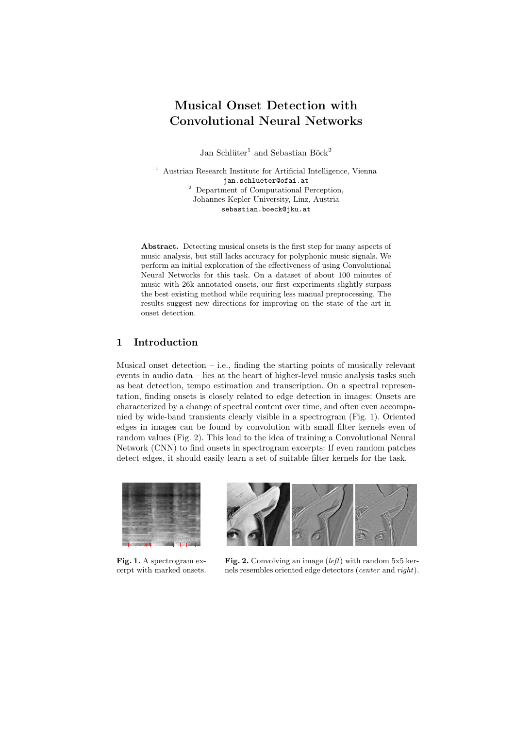# Musical Onset Detection with Convolutional Neural Networks

Jan Schlüter<sup>1</sup> and Sebastian Böck<sup>2</sup>

 $^{\rm 1}$  [Austrian Research Institute for Artificial Intelligence, Vienna](http://www.ofai.at) [jan.schlueter@ofai.at](mailto:jan.schlueter@ofai.at) <sup>2</sup> [Department of Computational Perception,](http://www.cp.jku.at) [Johannes Kepler University, Linz, Austria](http://www.cp.jku.at) [sebastian.boeck@jku.at](mailto:sebastian.boeck@jku.at)

Abstract. Detecting musical onsets is the first step for many aspects of music analysis, but still lacks accuracy for polyphonic music signals. We perform an initial exploration of the effectiveness of using Convolutional Neural Networks for this task. On a dataset of about 100 minutes of music with 26k annotated onsets, our first experiments slightly surpass the best existing method while requiring less manual preprocessing. The results suggest new directions for improving on the state of the art in onset detection.

### 1 Introduction

Musical onset detection  $-$  i.e., finding the starting points of musically relevant events in audio data – lies at the heart of higher-level music analysis tasks such as beat detection, tempo estimation and transcription. On a spectral representation, finding onsets is closely related to edge detection in images: Onsets are characterized by a change of spectral content over time, and often even accompanied by wide-band transients clearly visible in a spectrogram (Fig. [1\)](#page-0-0). Oriented edges in images can be found by convolution with small filter kernels even of random values (Fig. [2\)](#page-0-1). This lead to the idea of training a Convolutional Neural Network (CNN) to find onsets in spectrogram excerpts: If even random patches detect edges, it should easily learn a set of suitable filter kernels for the task.

<span id="page-0-0"></span>

Fig. 1. A spectrogram excerpt with marked onsets.



<span id="page-0-1"></span>Fig. 2. Convolving an image (left) with random  $5x5$  kernels resembles oriented edge detectors (center and right).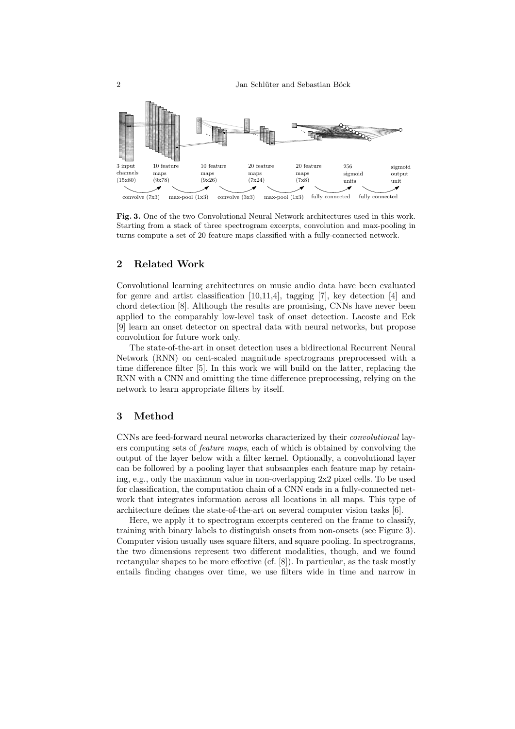

<span id="page-1-0"></span>Fig. 3. One of the two Convolutional Neural Network architectures used in this work. Starting from a stack of three spectrogram excerpts, convolution and max-pooling in turns compute a set of 20 feature maps classified with a fully-connected network.

## 2 Related Work

Convolutional learning architectures on music audio data have been evaluated for genre and artist classification [\[10,](#page-3-0)[11,](#page-3-1)[4\]](#page-3-2), tagging [\[7\]](#page-3-3), key detection [\[4\]](#page-3-2) and chord detection [\[8\]](#page-3-4). Although the results are promising, CNNs have never been applied to the comparably low-level task of onset detection. Lacoste and Eck [\[9\]](#page-3-5) learn an onset detector on spectral data with neural networks, but propose convolution for future work only.

The state-of-the-art in onset detection uses a bidirectional Recurrent Neural Network (RNN) on cent-scaled magnitude spectrograms preprocessed with a time difference filter [\[5\]](#page-3-6). In this work we will build on the latter, replacing the RNN with a CNN and omitting the time difference preprocessing, relying on the network to learn appropriate filters by itself.

#### 3 Method

CNNs are feed-forward neural networks characterized by their convolutional layers computing sets of feature maps, each of which is obtained by convolving the output of the layer below with a filter kernel. Optionally, a convolutional layer can be followed by a pooling layer that subsamples each feature map by retaining, e.g., only the maximum value in non-overlapping 2x2 pixel cells. To be used for classification, the computation chain of a CNN ends in a fully-connected network that integrates information across all locations in all maps. This type of architecture defines the state-of-the-art on several computer vision tasks [\[6\]](#page-3-7).

Here, we apply it to spectrogram excerpts centered on the frame to classify, training with binary labels to distinguish onsets from non-onsets (see Figure [3\)](#page-1-0). Computer vision usually uses square filters, and square pooling. In spectrograms, the two dimensions represent two different modalities, though, and we found rectangular shapes to be more effective (cf. [\[8\]](#page-3-4)). In particular, as the task mostly entails finding changes over time, we use filters wide in time and narrow in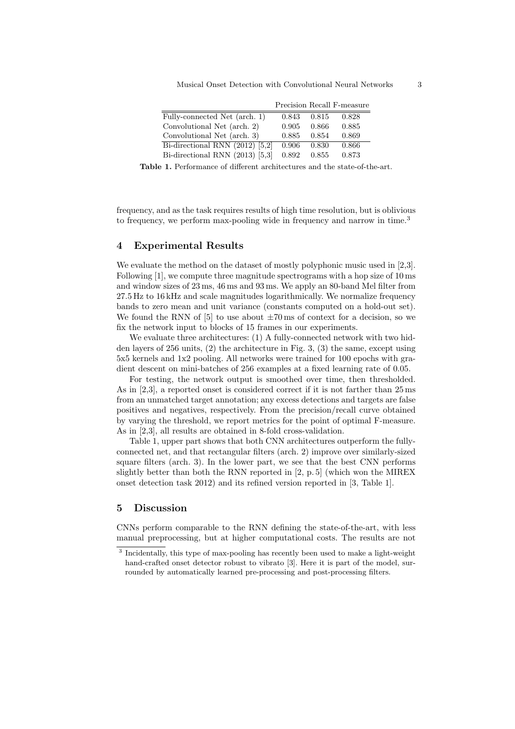Musical Onset Detection with Convolutional Neural Networks 3

|                                   |       |       | Precision Recall F-measure |
|-----------------------------------|-------|-------|----------------------------|
| Fully-connected Net (arch. 1)     | 0.843 | 0.815 | 0.828                      |
| Convolutional Net (arch. 2)       | 0.905 | 0.866 | 0.885                      |
| Convolutional Net (arch. 3)       | 0.885 | 0.854 | 0.869                      |
| Bi-directional RNN $(2012)$ [5,2] | 0.906 | 0.830 | 0.866                      |
| Bi-directional RNN $(2013)$ [5,3] | 0.892 | 0.855 | 0.873                      |

<span id="page-2-1"></span>Table 1. Performance of different architectures and the state-of-the-art.

frequency, and as the task requires results of high time resolution, but is oblivious to frequency, we perform max-pooling wide in frequency and narrow in time.<sup>[3](#page-2-0)</sup>

#### 4 Experimental Results

We evaluate the method on the dataset of mostly polyphonic music used in [\[2,](#page-3-8)[3\]](#page-3-9). Following [\[1\]](#page-3-10), we compute three magnitude spectrograms with a hop size of 10 ms and window sizes of 23 ms, 46 ms and 93 ms. We apply an 80-band Mel filter from 27.5 Hz to 16 kHz and scale magnitudes logarithmically. We normalize frequency bands to zero mean and unit variance (constants computed on a hold-out set). We found the RNN of  $[5]$  to use about  $\pm 70 \,\text{ms}$  of context for a decision, so we fix the network input to blocks of 15 frames in our experiments.

We evaluate three architectures: (1) A fully-connected network with two hidden layers of 256 units, (2) the architecture in Fig. [3,](#page-1-0) (3) the same, except using 5x5 kernels and 1x2 pooling. All networks were trained for 100 epochs with gradient descent on mini-batches of 256 examples at a fixed learning rate of 0.05.

For testing, the network output is smoothed over time, then thresholded. As in [\[2,](#page-3-8)[3\]](#page-3-9), a reported onset is considered correct if it is not farther than 25 ms from an unmatched target annotation; any excess detections and targets are false positives and negatives, respectively. From the precision/recall curve obtained by varying the threshold, we report metrics for the point of optimal F-measure. As in [\[2,](#page-3-8)[3\]](#page-3-9), all results are obtained in 8-fold cross-validation.

Table [1,](#page-2-1) upper part shows that both CNN architectures outperform the fullyconnected net, and that rectangular filters (arch. 2) improve over similarly-sized square filters (arch. 3). In the lower part, we see that the best CNN performs slightly better than both the RNN reported in [\[2,](#page-3-8) p. 5] (which won the [MIREX](http://nema.lis.illinois.edu/nema_out/mirex2012/results/aod/) [onset detection task 2012\)](http://nema.lis.illinois.edu/nema_out/mirex2012/results/aod/) and its refined version reported in [\[3,](#page-3-9) Table 1].

### 5 Discussion

CNNs perform comparable to the RNN defining the state-of-the-art, with less manual preprocessing, but at higher computational costs. The results are not

<span id="page-2-0"></span><sup>&</sup>lt;sup>3</sup> Incidentally, this type of max-pooling has recently been used to make a light-weight hand-crafted onset detector robust to vibrato [\[3\]](#page-3-9). Here it is part of the model, surrounded by automatically learned pre-processing and post-processing filters.